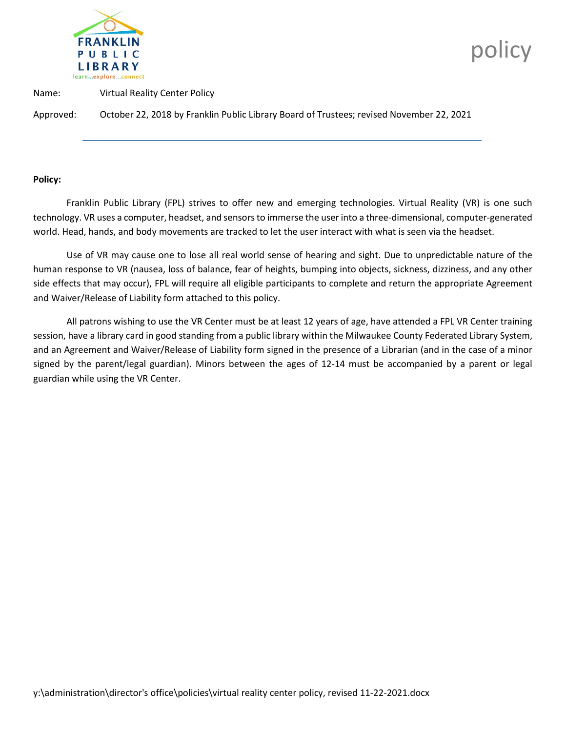

**policy** and the policy

Name: Virtual Reality Center Policy

Approved: October 22, 2018 by Franklin Public Library Board of Trustees; revised November 22, 2021

#### **Policy:**

Franklin Public Library (FPL) strives to offer new and emerging technologies. Virtual Reality (VR) is one such technology. VR uses a computer, headset, and sensors to immerse the user into a three-dimensional, computer-generated world. Head, hands, and body movements are tracked to let the user interact with what is seen via the headset.

Use of VR may cause one to lose all real world sense of hearing and sight. Due to unpredictable nature of the human response to VR (nausea, loss of balance, fear of heights, bumping into objects, sickness, dizziness, and any other side effects that may occur), FPL will require all eligible participants to complete and return the appropriate Agreement and Waiver/Release of Liability form attached to this policy.

All patrons wishing to use the VR Center must be at least 12 years of age, have attended a FPL VR Center training session, have a library card in good standing from a public library within the Milwaukee County Federated Library System, and an Agreement and Waiver/Release of Liability form signed in the presence of a Librarian (and in the case of a minor signed by the parent/legal guardian). Minors between the ages of 12-14 must be accompanied by a parent or legal guardian while using the VR Center.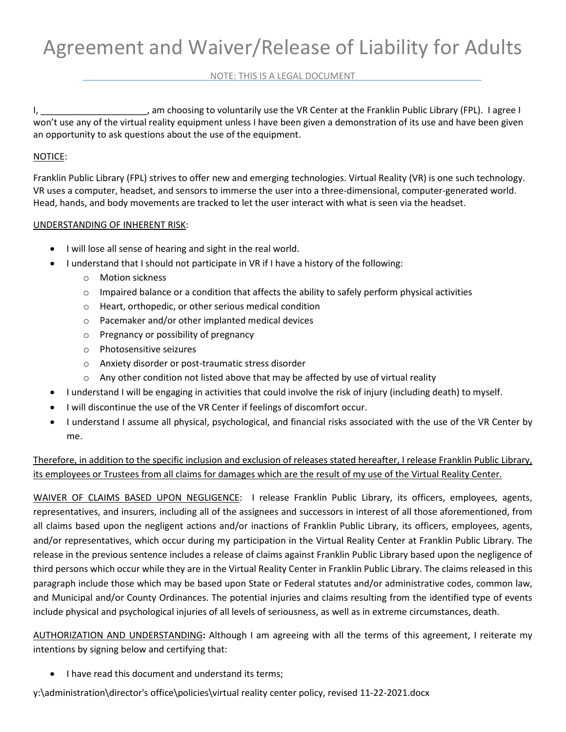### NOTE: THIS IS A LEGAL DOCUMENT

I, \_\_\_\_\_\_\_\_\_\_\_\_\_\_\_\_\_\_\_\_\_\_\_, am choosing to voluntarily use the VR Center at the Franklin Public Library (FPL). I agree I won't use any of the virtual reality equipment unless I have been given a demonstration of its use and have been given an opportunity to ask questions about the use of the equipment.

## NOTICE:

Franklin Public Library (FPL) strives to offer new and emerging technologies. Virtual Reality (VR) is one such technology. VR uses a computer, headset, and sensors to immerse the user into a three-dimensional, computer-generated world. Head, hands, and body movements are tracked to let the user interact with what is seen via the headset.

# UNDERSTANDING OF INHERENT RISK:

- I will lose all sense of hearing and sight in the real world.
- I understand that I should not participate in VR if I have a history of the following:
	- o Motion sickness
	- $\circ$  Impaired balance or a condition that affects the ability to safely perform physical activities
	- o Heart, orthopedic, or other serious medical condition
	- o Pacemaker and/or other implanted medical devices
	- o Pregnancy or possibility of pregnancy
	- o Photosensitive seizures
	- o Anxiety disorder or post-traumatic stress disorder
	- $\circ$  Any other condition not listed above that may be affected by use of virtual reality
	- I understand I will be engaging in activities that could involve the risk of injury (including death) to myself.
- I will discontinue the use of the VR Center if feelings of discomfort occur.
- I understand I assume all physical, psychological, and financial risks associated with the use of the VR Center by me.

Therefore, in addition to the specific inclusion and exclusion of releases stated hereafter, I release Franklin Public Library, its employees or Trustees from all claims for damages which are the result of my use of the Virtual Reality Center.

WAIVER OF CLAIMS BASED UPON NEGLIGENCE: I release Franklin Public Library, its officers, employees, agents, representatives, and insurers, including all of the assignees and successors in interest of all those aforementioned, from all claims based upon the negligent actions and/or inactions of Franklin Public Library, its officers, employees, agents, and/or representatives, which occur during my participation in the Virtual Reality Center at Franklin Public Library. The release in the previous sentence includes a release of claims against Franklin Public Library based upon the negligence of third persons which occur while they are in the Virtual Reality Center in Franklin Public Library. The claims released in this paragraph include those which may be based upon State or Federal statutes and/or administrative codes, common law, and Municipal and/or County Ordinances. The potential injuries and claims resulting from the identified type of events include physical and psychological injuries of all levels of seriousness, as well as in extreme circumstances, death.

AUTHORIZATION AND UNDERSTANDING**:** Although I am agreeing with all the terms of this agreement, I reiterate my intentions by signing below and certifying that:

• I have read this document and understand its terms;

y:\administration\director's office\policies\virtual reality center policy, revised 11-22-2021.docx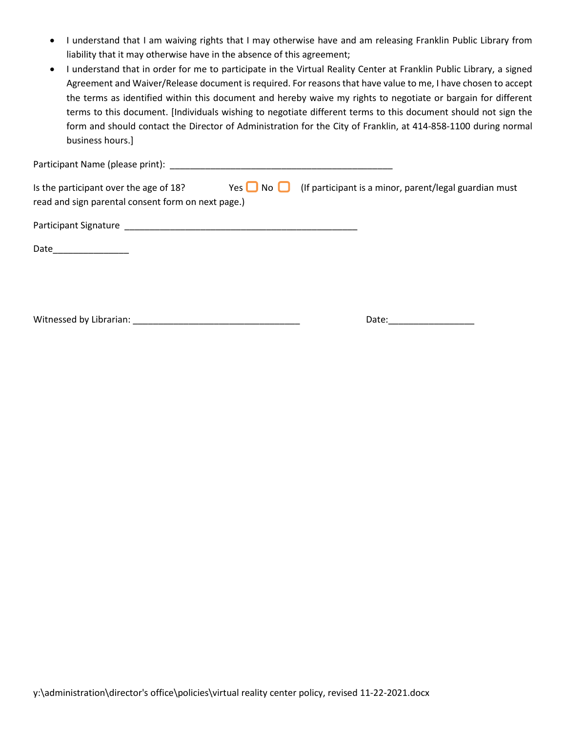- I understand that I am waiving rights that I may otherwise have and am releasing Franklin Public Library from liability that it may otherwise have in the absence of this agreement;
- I understand that in order for me to participate in the Virtual Reality Center at Franklin Public Library, a signed Agreement and Waiver/Release document is required. For reasons that have value to me, I have chosen to accept the terms as identified within this document and hereby waive my rights to negotiate or bargain for different terms to this document. [Individuals wishing to negotiate different terms to this document should not sign the form and should contact the Director of Administration for the City of Franklin, at 414-858-1100 during normal business hours.]

| Is the participant over the age of 18?<br>read and sign parental consent form on next page.) | Yes $\Box$ No $\Box$ | (If participant is a minor, parent/legal guardian must |  |
|----------------------------------------------------------------------------------------------|----------------------|--------------------------------------------------------|--|
|                                                                                              |                      |                                                        |  |
| Date                                                                                         |                      |                                                        |  |
|                                                                                              |                      |                                                        |  |
| Witnessed by Librarian: Witnessed by Librarian:                                              |                      | Date:                                                  |  |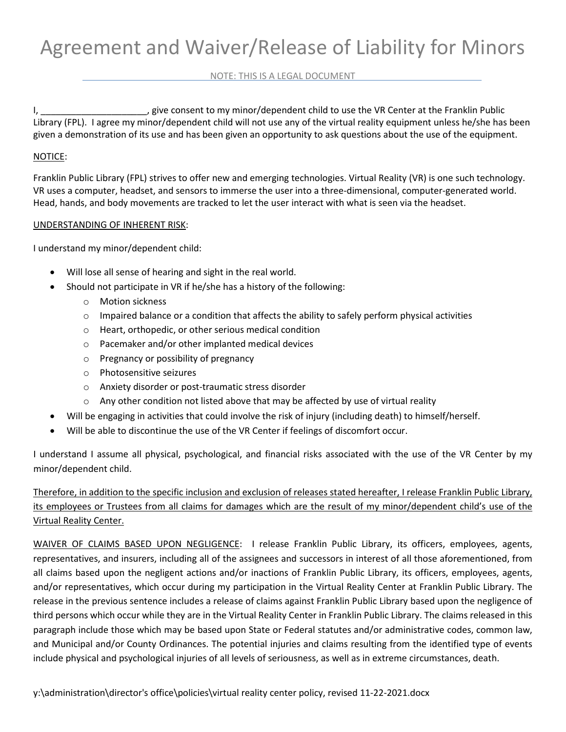## NOTE: THIS IS A LEGAL DOCUMENT

I, \_\_\_\_\_\_\_\_\_\_\_\_\_\_\_\_\_\_\_\_\_, give consent to my minor/dependent child to use the VR Center at the Franklin Public Library (FPL). I agree my minor/dependent child will not use any of the virtual reality equipment unless he/she has been given a demonstration of its use and has been given an opportunity to ask questions about the use of the equipment.

## NOTICE:

Franklin Public Library (FPL) strives to offer new and emerging technologies. Virtual Reality (VR) is one such technology. VR uses a computer, headset, and sensors to immerse the user into a three-dimensional, computer-generated world. Head, hands, and body movements are tracked to let the user interact with what is seen via the headset.

# UNDERSTANDING OF INHERENT RISK:

I understand my minor/dependent child:

- Will lose all sense of hearing and sight in the real world.
- Should not participate in VR if he/she has a history of the following:
	- o Motion sickness
	- $\circ$  Impaired balance or a condition that affects the ability to safely perform physical activities
	- o Heart, orthopedic, or other serious medical condition
	- o Pacemaker and/or other implanted medical devices
	- o Pregnancy or possibility of pregnancy
	- o Photosensitive seizures
	- o Anxiety disorder or post-traumatic stress disorder
	- $\circ$  Any other condition not listed above that may be affected by use of virtual reality
- Will be engaging in activities that could involve the risk of injury (including death) to himself/herself.
- Will be able to discontinue the use of the VR Center if feelings of discomfort occur.

I understand I assume all physical, psychological, and financial risks associated with the use of the VR Center by my minor/dependent child.

Therefore, in addition to the specific inclusion and exclusion of releases stated hereafter, I release Franklin Public Library, its employees or Trustees from all claims for damages which are the result of my minor/dependent child's use of the Virtual Reality Center.

WAIVER OF CLAIMS BASED UPON NEGLIGENCE: I release Franklin Public Library, its officers, employees, agents, representatives, and insurers, including all of the assignees and successors in interest of all those aforementioned, from all claims based upon the negligent actions and/or inactions of Franklin Public Library, its officers, employees, agents, and/or representatives, which occur during my participation in the Virtual Reality Center at Franklin Public Library. The release in the previous sentence includes a release of claims against Franklin Public Library based upon the negligence of third persons which occur while they are in the Virtual Reality Center in Franklin Public Library. The claims released in this paragraph include those which may be based upon State or Federal statutes and/or administrative codes, common law, and Municipal and/or County Ordinances. The potential injuries and claims resulting from the identified type of events include physical and psychological injuries of all levels of seriousness, as well as in extreme circumstances, death.